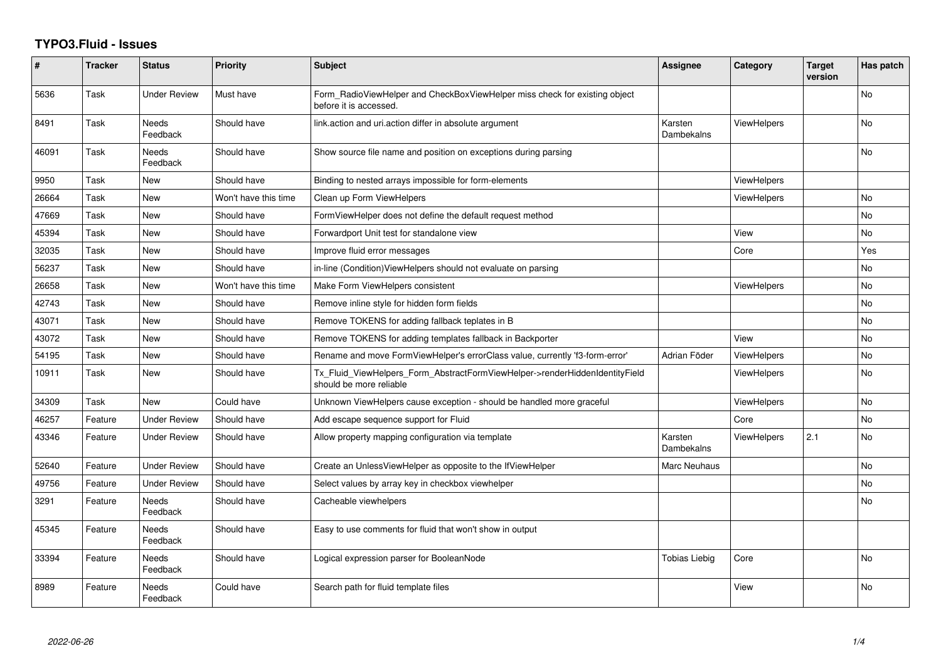## **TYPO3.Fluid - Issues**

| #     | <b>Tracker</b> | <b>Status</b>            | <b>Priority</b>      | <b>Subject</b>                                                                                         | Assignee              | Category           | <b>Target</b><br>version | Has patch      |
|-------|----------------|--------------------------|----------------------|--------------------------------------------------------------------------------------------------------|-----------------------|--------------------|--------------------------|----------------|
| 5636  | Task           | <b>Under Review</b>      | Must have            | Form_RadioViewHelper and CheckBoxViewHelper miss check for existing object<br>before it is accessed.   |                       |                    |                          | <b>No</b>      |
| 8491  | Task           | <b>Needs</b><br>Feedback | Should have          | link.action and uri.action differ in absolute argument                                                 | Karsten<br>Dambekalns | ViewHelpers        |                          | <b>No</b>      |
| 46091 | Task           | <b>Needs</b><br>Feedback | Should have          | Show source file name and position on exceptions during parsing                                        |                       |                    |                          | No             |
| 9950  | Task           | New                      | Should have          | Binding to nested arrays impossible for form-elements                                                  |                       | ViewHelpers        |                          |                |
| 26664 | Task           | <b>New</b>               | Won't have this time | Clean up Form ViewHelpers                                                                              |                       | ViewHelpers        |                          | N <sub>o</sub> |
| 47669 | Task           | New                      | Should have          | FormViewHelper does not define the default request method                                              |                       |                    |                          | No             |
| 45394 | Task           | New                      | Should have          | Forwardport Unit test for standalone view                                                              |                       | View               |                          | <b>No</b>      |
| 32035 | Task           | New                      | Should have          | Improve fluid error messages                                                                           |                       | Core               |                          | Yes            |
| 56237 | Task           | New                      | Should have          | in-line (Condition)ViewHelpers should not evaluate on parsing                                          |                       |                    |                          | No             |
| 26658 | Task           | New                      | Won't have this time | Make Form ViewHelpers consistent                                                                       |                       | <b>ViewHelpers</b> |                          | No.            |
| 42743 | Task           | New                      | Should have          | Remove inline style for hidden form fields                                                             |                       |                    |                          | No             |
| 43071 | Task           | New                      | Should have          | Remove TOKENS for adding fallback teplates in B                                                        |                       |                    |                          | <b>No</b>      |
| 43072 | Task           | New                      | Should have          | Remove TOKENS for adding templates fallback in Backporter                                              |                       | View               |                          | No             |
| 54195 | Task           | New                      | Should have          | Rename and move FormViewHelper's errorClass value, currently 'f3-form-error'                           | Adrian Föder          | ViewHelpers        |                          | No             |
| 10911 | Task           | New                      | Should have          | Tx_Fluid_ViewHelpers_Form_AbstractFormViewHelper->renderHiddenIdentityField<br>should be more reliable |                       | ViewHelpers        |                          | No             |
| 34309 | Task           | <b>New</b>               | Could have           | Unknown ViewHelpers cause exception - should be handled more graceful                                  |                       | ViewHelpers        |                          | <b>No</b>      |
| 46257 | Feature        | Under Review             | Should have          | Add escape sequence support for Fluid                                                                  |                       | Core               |                          | No             |
| 43346 | Feature        | <b>Under Review</b>      | Should have          | Allow property mapping configuration via template                                                      | Karsten<br>Dambekalns | ViewHelpers        | 2.1                      | No             |
| 52640 | Feature        | <b>Under Review</b>      | Should have          | Create an UnlessViewHelper as opposite to the IfViewHelper                                             | Marc Neuhaus          |                    |                          | No             |
| 49756 | Feature        | Under Review             | Should have          | Select values by array key in checkbox viewhelper                                                      |                       |                    |                          | No             |
| 3291  | Feature        | <b>Needs</b><br>Feedback | Should have          | Cacheable viewhelpers                                                                                  |                       |                    |                          | <b>No</b>      |
| 45345 | Feature        | Needs<br>Feedback        | Should have          | Easy to use comments for fluid that won't show in output                                               |                       |                    |                          |                |
| 33394 | Feature        | Needs<br>Feedback        | Should have          | Logical expression parser for BooleanNode                                                              | <b>Tobias Liebig</b>  | Core               |                          | No             |
| 8989  | Feature        | Needs<br>Feedback        | Could have           | Search path for fluid template files                                                                   |                       | View               |                          | No             |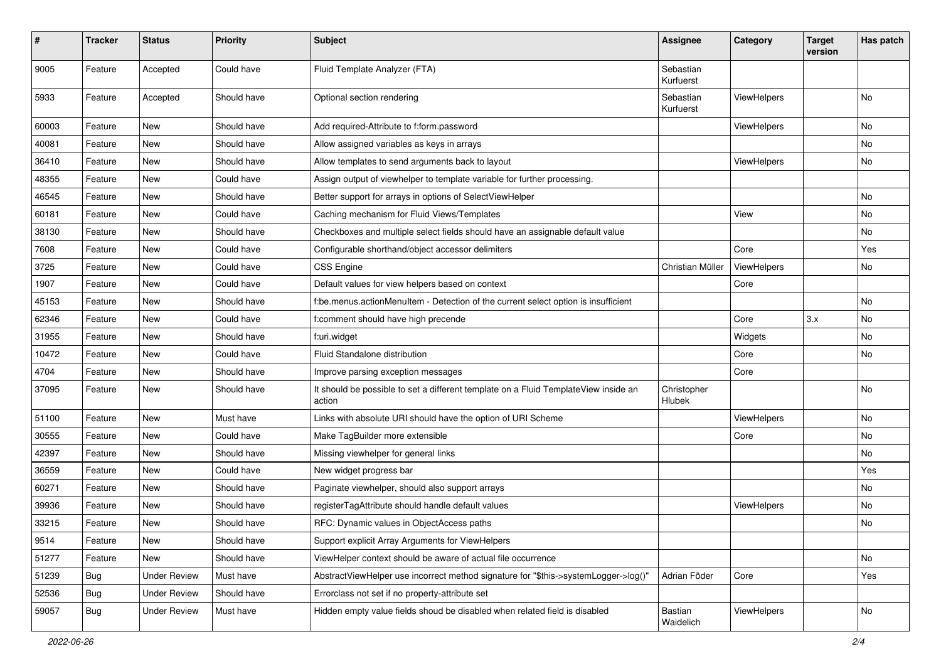| #     | <b>Tracker</b> | <b>Status</b>       | <b>Priority</b> | Subject                                                                                       | <b>Assignee</b>        | Category    | <b>Target</b><br>version | Has patch |
|-------|----------------|---------------------|-----------------|-----------------------------------------------------------------------------------------------|------------------------|-------------|--------------------------|-----------|
| 9005  | Feature        | Accepted            | Could have      | Fluid Template Analyzer (FTA)                                                                 | Sebastian<br>Kurfuerst |             |                          |           |
| 5933  | Feature        | Accepted            | Should have     | Optional section rendering                                                                    | Sebastian<br>Kurfuerst | ViewHelpers |                          | No        |
| 60003 | Feature        | New                 | Should have     | Add required-Attribute to f:form.password                                                     |                        | ViewHelpers |                          | No        |
| 40081 | Feature        | New                 | Should have     | Allow assigned variables as keys in arrays                                                    |                        |             |                          | No        |
| 36410 | Feature        | New                 | Should have     | Allow templates to send arguments back to layout                                              |                        | ViewHelpers |                          | No        |
| 48355 | Feature        | New                 | Could have      | Assign output of viewhelper to template variable for further processing.                      |                        |             |                          |           |
| 46545 | Feature        | New                 | Should have     | Better support for arrays in options of SelectViewHelper                                      |                        |             |                          | No        |
| 60181 | Feature        | New                 | Could have      | Caching mechanism for Fluid Views/Templates                                                   |                        | View        |                          | No        |
| 38130 | Feature        | New                 | Should have     | Checkboxes and multiple select fields should have an assignable default value                 |                        |             |                          | No        |
| 7608  | Feature        | New                 | Could have      | Configurable shorthand/object accessor delimiters                                             |                        | Core        |                          | Yes       |
| 3725  | Feature        | New                 | Could have      | <b>CSS Engine</b>                                                                             | Christian Müller       | ViewHelpers |                          | No        |
| 1907  | Feature        | New                 | Could have      | Default values for view helpers based on context                                              |                        | Core        |                          |           |
| 45153 | Feature        | New                 | Should have     | f:be.menus.actionMenuItem - Detection of the current select option is insufficient            |                        |             |                          | No        |
| 62346 | Feature        | New                 | Could have      | f:comment should have high precende                                                           |                        | Core        | 3.x                      | No        |
| 31955 | Feature        | New                 | Should have     | f:uri.widget                                                                                  |                        | Widgets     |                          | <b>No</b> |
| 10472 | Feature        | New                 | Could have      | Fluid Standalone distribution                                                                 |                        | Core        |                          | No        |
| 4704  | Feature        | New                 | Should have     | Improve parsing exception messages                                                            |                        | Core        |                          |           |
| 37095 | Feature        | New                 | Should have     | It should be possible to set a different template on a Fluid TemplateView inside an<br>action | Christopher<br>Hlubek  |             |                          | No        |
| 51100 | Feature        | New                 | Must have       | Links with absolute URI should have the option of URI Scheme                                  |                        | ViewHelpers |                          | No        |
| 30555 | Feature        | New                 | Could have      | Make TagBuilder more extensible                                                               |                        | Core        |                          | No        |
| 42397 | Feature        | New                 | Should have     | Missing viewhelper for general links                                                          |                        |             |                          | No        |
| 36559 | Feature        | New                 | Could have      | New widget progress bar                                                                       |                        |             |                          | Yes       |
| 60271 | Feature        | New                 | Should have     | Paginate viewhelper, should also support arrays                                               |                        |             |                          | No        |
| 39936 | Feature        | <b>New</b>          | Should have     | registerTagAttribute should handle default values                                             |                        | ViewHelpers |                          | No        |
| 33215 | Feature        | New                 | Should have     | RFC: Dynamic values in ObjectAccess paths                                                     |                        |             |                          | No        |
| 9514  | Feature        | New                 | Should have     | Support explicit Array Arguments for ViewHelpers                                              |                        |             |                          |           |
| 51277 | Feature        | New                 | Should have     | ViewHelper context should be aware of actual file occurrence                                  |                        |             |                          | No        |
| 51239 | <b>Bug</b>     | <b>Under Review</b> | Must have       | AbstractViewHelper use incorrect method signature for "\$this->systemLogger->log()"           | Adrian Föder           | Core        |                          | Yes       |
| 52536 | Bug            | <b>Under Review</b> | Should have     | Errorclass not set if no property-attribute set                                               |                        |             |                          |           |
| 59057 | Bug            | <b>Under Review</b> | Must have       | Hidden empty value fields shoud be disabled when related field is disabled                    | Bastian<br>Waidelich   | ViewHelpers |                          | No        |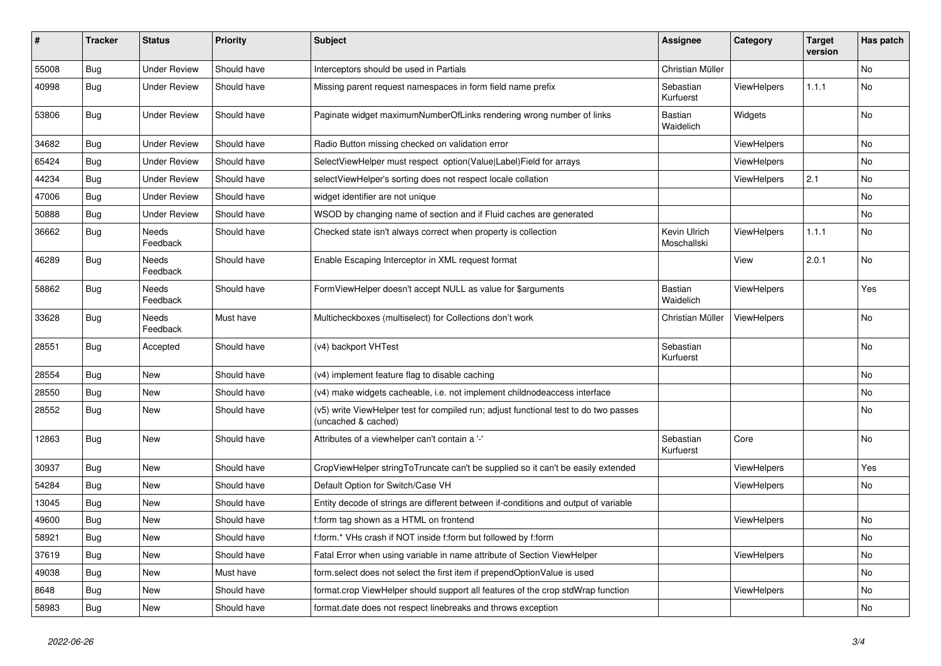| #     | <b>Tracker</b> | <b>Status</b>            | <b>Priority</b> | <b>Subject</b>                                                                                              | <b>Assignee</b>             | Category           | <b>Target</b><br>version | Has patch |
|-------|----------------|--------------------------|-----------------|-------------------------------------------------------------------------------------------------------------|-----------------------------|--------------------|--------------------------|-----------|
| 55008 | <b>Bug</b>     | <b>Under Review</b>      | Should have     | Interceptors should be used in Partials                                                                     | Christian Müller            |                    |                          | No        |
| 40998 | <b>Bug</b>     | <b>Under Review</b>      | Should have     | Missing parent request namespaces in form field name prefix                                                 | Sebastian<br>Kurfuerst      | ViewHelpers        | 1.1.1                    | No        |
| 53806 | <b>Bug</b>     | <b>Under Review</b>      | Should have     | Paginate widget maximumNumberOfLinks rendering wrong number of links                                        | Bastian<br>Waidelich        | Widgets            |                          | No        |
| 34682 | Bug            | <b>Under Review</b>      | Should have     | Radio Button missing checked on validation error                                                            |                             | <b>ViewHelpers</b> |                          | <b>No</b> |
| 65424 | Bug            | <b>Under Review</b>      | Should have     | SelectViewHelper must respect option(Value Label)Field for arrays                                           |                             | ViewHelpers        |                          | <b>No</b> |
| 44234 | Bug            | Under Review             | Should have     | selectViewHelper's sorting does not respect locale collation                                                |                             | <b>ViewHelpers</b> | 2.1                      | <b>No</b> |
| 47006 | <b>Bug</b>     | Under Review             | Should have     | widget identifier are not unique                                                                            |                             |                    |                          | <b>No</b> |
| 50888 | <b>Bug</b>     | <b>Under Review</b>      | Should have     | WSOD by changing name of section and if Fluid caches are generated                                          |                             |                    |                          | No        |
| 36662 | Bug            | Needs<br>Feedback        | Should have     | Checked state isn't always correct when property is collection                                              | Kevin Ulrich<br>Moschallski | ViewHelpers        | 1.1.1                    | No        |
| 46289 | Bug            | <b>Needs</b><br>Feedback | Should have     | Enable Escaping Interceptor in XML request format                                                           |                             | View               | 2.0.1                    | <b>No</b> |
| 58862 | Bug            | Needs<br>Feedback        | Should have     | FormViewHelper doesn't accept NULL as value for \$arguments                                                 | Bastian<br>Waidelich        | <b>ViewHelpers</b> |                          | Yes       |
| 33628 | Bug            | Needs<br>Feedback        | Must have       | Multicheckboxes (multiselect) for Collections don't work                                                    | Christian Müller            | ViewHelpers        |                          | <b>No</b> |
| 28551 | Bug            | Accepted                 | Should have     | (v4) backport VHTest                                                                                        | Sebastian<br>Kurfuerst      |                    |                          | <b>No</b> |
| 28554 | Bug            | New                      | Should have     | (v4) implement feature flag to disable caching                                                              |                             |                    |                          | No        |
| 28550 | Bug            | New                      | Should have     | (v4) make widgets cacheable, i.e. not implement childnodeaccess interface                                   |                             |                    |                          | No        |
| 28552 | Bug            | New                      | Should have     | (v5) write ViewHelper test for compiled run; adjust functional test to do two passes<br>(uncached & cached) |                             |                    |                          | No        |
| 12863 | Bug            | New                      | Should have     | Attributes of a viewhelper can't contain a '-'                                                              | Sebastian<br>Kurfuerst      | Core               |                          | <b>No</b> |
| 30937 | <b>Bug</b>     | New                      | Should have     | CropViewHelper stringToTruncate can't be supplied so it can't be easily extended                            |                             | <b>ViewHelpers</b> |                          | Yes       |
| 54284 | <b>Bug</b>     | New                      | Should have     | Default Option for Switch/Case VH                                                                           |                             | <b>ViewHelpers</b> |                          | <b>No</b> |
| 13045 | <b>Bug</b>     | New                      | Should have     | Entity decode of strings are different between if-conditions and output of variable                         |                             |                    |                          |           |
| 49600 | Bug            | <b>New</b>               | Should have     | f:form tag shown as a HTML on frontend                                                                      |                             | <b>ViewHelpers</b> |                          | <b>No</b> |
| 58921 | Bug            | New                      | Should have     | f:form.* VHs crash if NOT inside f:form but followed by f:form                                              |                             |                    |                          | No        |
| 37619 | Bug            | New                      | Should have     | Fatal Error when using variable in name attribute of Section ViewHelper                                     |                             | <b>ViewHelpers</b> |                          | No        |
| 49038 | <b>Bug</b>     | New                      | Must have       | form select does not select the first item if prependOptionValue is used                                    |                             |                    |                          | No        |
| 8648  | <b>Bug</b>     | New                      | Should have     | format.crop ViewHelper should support all features of the crop stdWrap function                             |                             | ViewHelpers        |                          | No        |
| 58983 | <b>Bug</b>     | New                      | Should have     | format.date does not respect linebreaks and throws exception                                                |                             |                    |                          | No        |